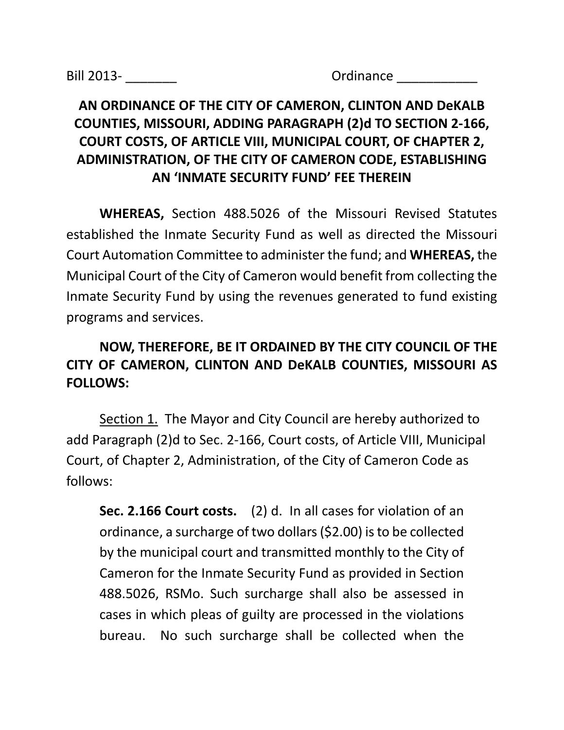## **AN ORDINANCE OF THE CITY OF CAMERON, CLINTON AND DeKALB COUNTIES, MISSOURI, ADDING PARAGRAPH (2)d TO SECTION 2‐166, COURT COSTS, OF ARTICLE VIII, MUNICIPAL COURT, OF CHAPTER 2, ADMINISTRATION, OF THE CITY OF CAMERON CODE, ESTABLISHING AN 'INMATE SECURITY FUND' FEE THEREIN**

**WHEREAS,**  Section 488.5026 of the Missouri Revised Statutes established the Inmate Security Fund as well as directed the Missouri Court Automation Committee to administer the fund; and **WHEREAS,** the Municipal Court of the City of Cameron would benefit from collecting the Inmate Security Fund by using the revenues generated to fund existing programs and services.

## **NOW, THEREFORE, BE IT ORDAINED BY THE CITY COUNCIL OF THE CITY OF CAMERON, CLINTON AND DeKALB COUNTIES, MISSOURI AS FOLLOWS:**

Section 1. The Mayor and City Council are hereby authorized to add Paragraph (2)d to Sec. 2‐166, Court costs, of Article VIII, Municipal Court, of Chapter 2, Administration, of the City of Cameron Code as follows:

**Sec. 2.166 Court costs.** (2) d. In all cases for violation of an ordinance, a surcharge of two dollars (\$2.00) is to be collected by the municipal court and transmitted monthly to the City of Cameron for the Inmate Security Fund as provided in Section 488.5026, RSMo. Such surcharge shall also be assessed in cases in which pleas of guilty are processed in the violations bureau. No such surcharge shall be collected when the